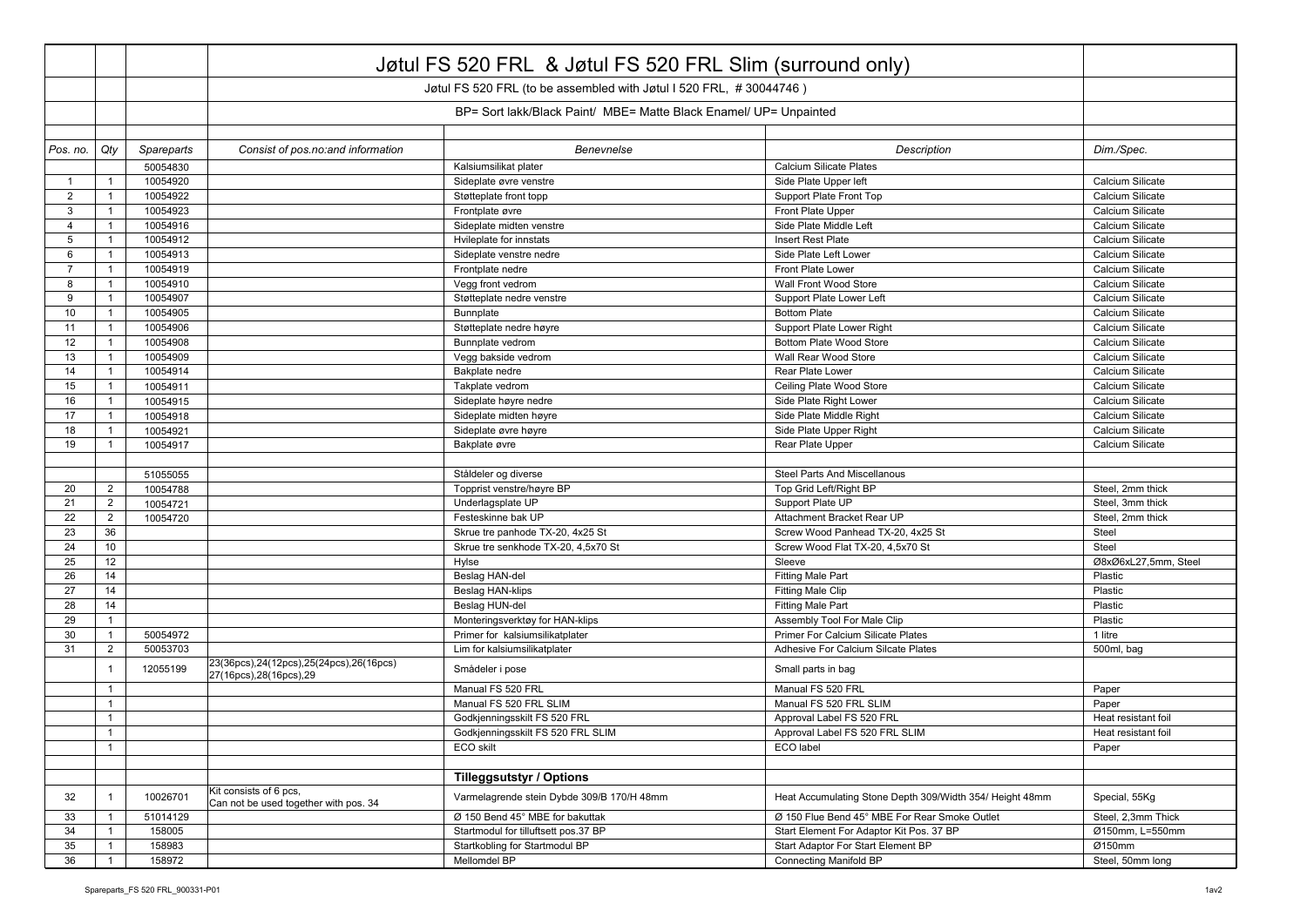|                |                |            | Jøtul FS 520 FRL & Jøtul FS 520 FRL Slim (surround only)               |                                                                   |                                                          |                      |
|----------------|----------------|------------|------------------------------------------------------------------------|-------------------------------------------------------------------|----------------------------------------------------------|----------------------|
|                |                |            | Jøtul FS 520 FRL (to be assembled with Jøtul I 520 FRL, #30044746)     |                                                                   |                                                          |                      |
|                |                |            |                                                                        |                                                                   |                                                          |                      |
|                |                |            |                                                                        | BP= Sort lakk/Black Paint/ MBE= Matte Black Enamel/ UP= Unpainted |                                                          |                      |
| Pos. no.       | Qty            | Spareparts | Consist of pos.no: and information                                     | Benevnelse                                                        | Description                                              | Dim./Spec.           |
|                |                | 50054830   |                                                                        | Kalsiumsilikat plater                                             | <b>Calcium Silicate Plates</b>                           |                      |
| $\mathbf{1}$   | $\overline{1}$ | 10054920   |                                                                        | Sideplate øvre venstre                                            | Side Plate Upper left                                    | Calcium Silicate     |
| 2              | $\overline{1}$ | 10054922   |                                                                        | Støtteplate front topp                                            | Support Plate Front Top                                  | Calcium Silicate     |
| 3              | $\mathbf{1}$   | 10054923   |                                                                        | Frontplate øvre                                                   | Front Plate Upper                                        | Calcium Silicate     |
| $\overline{4}$ | $\mathbf{1}$   | 10054916   |                                                                        | Sideplate midten venstre                                          | Side Plate Middle Left                                   | Calcium Silicate     |
| 5              | $\overline{1}$ | 10054912   |                                                                        | Hvileplate for innstats                                           | Insert Rest Plate                                        | Calcium Silicate     |
| 6              | $\mathbf{1}$   | 10054913   |                                                                        | Sideplate venstre nedre                                           | Side Plate Left Lower                                    | Calcium Silicate     |
| $\overline{7}$ | $\overline{1}$ | 10054919   |                                                                        | Frontplate nedre                                                  | Front Plate Lower                                        | Calcium Silicate     |
| 8              | $\overline{1}$ | 10054910   |                                                                        | Vegg front vedrom                                                 | Wall Front Wood Store                                    | Calcium Silicate     |
| 9              | $\overline{1}$ | 10054907   |                                                                        | Støtteplate nedre venstre                                         | Support Plate Lower Left                                 | Calcium Silicate     |
| 10             | $\mathbf{1}$   | 10054905   |                                                                        | Bunnplate                                                         | <b>Bottom Plate</b>                                      | Calcium Silicate     |
| 11             | $\mathbf{1}$   | 10054906   |                                                                        | Støtteplate nedre høyre                                           | Support Plate Lower Right                                | Calcium Silicate     |
| 12             | $\overline{1}$ | 10054908   |                                                                        | Bunnplate vedrom                                                  | <b>Bottom Plate Wood Store</b>                           | Calcium Silicate     |
| 13             | $\mathbf{1}$   | 10054909   |                                                                        | Vegg bakside vedrom                                               | Wall Rear Wood Store                                     | Calcium Silicate     |
| 14             | $\overline{1}$ | 10054914   |                                                                        | Bakplate nedre                                                    | Rear Plate Lower                                         | Calcium Silicate     |
| 15             | $\mathbf{1}$   | 10054911   |                                                                        | Takplate vedrom                                                   | Ceiling Plate Wood Store                                 | Calcium Silicate     |
| 16             | $\overline{1}$ | 10054915   |                                                                        | Sideplate høyre nedre                                             | Side Plate Right Lower                                   | Calcium Silicate     |
| 17             | $\mathbf{1}$   | 10054918   |                                                                        | Sideplate midten høyre                                            | Side Plate Middle Right                                  | Calcium Silicate     |
| 18             | $\mathbf{1}$   | 10054921   |                                                                        | Sideplate øvre høyre                                              | Side Plate Upper Right                                   | Calcium Silicate     |
| 19             | $\mathbf{1}$   | 10054917   |                                                                        | Bakplate øvre                                                     | Rear Plate Upper                                         | Calcium Silicate     |
|                |                |            |                                                                        |                                                                   |                                                          |                      |
|                |                | 51055055   |                                                                        | Ståldeler og diverse                                              | <b>Steel Parts And Miscellanous</b>                      |                      |
| 20             | $\overline{2}$ | 10054788   |                                                                        | Topprist venstre/høyre BP                                         | Top Grid Left/Right BP                                   | Steel, 2mm thick     |
| 21             | $\overline{2}$ | 10054721   |                                                                        | Underlagsplate UP                                                 | Support Plate UP                                         | Steel, 3mm thick     |
| 22             | $\overline{2}$ | 10054720   |                                                                        | Festeskinne bak UP                                                | Attachment Bracket Rear UP                               | Steel, 2mm thick     |
| 23             | 36             |            |                                                                        | Skrue tre panhode TX-20, 4x25 St                                  | Screw Wood Panhead TX-20, 4x25 St                        | Steel                |
| 24             | 10             |            |                                                                        | Skrue tre senkhode TX-20, 4,5x70 St                               | Screw Wood Flat TX-20, 4,5x70 St                         | Steel                |
| 25             | 12             |            |                                                                        | Hylse                                                             | Sleeve                                                   | Ø8xØ6xL27,5mm, Steel |
| 26             | 14             |            |                                                                        | Beslag HAN-del                                                    | <b>Fitting Male Part</b>                                 | Plastic              |
| 27             | 14             |            |                                                                        | Beslag HAN-klips                                                  | <b>Fitting Male Clip</b>                                 | Plastic              |
| 28             | 14             |            |                                                                        | Beslag HUN-del                                                    | <b>Fitting Male Part</b>                                 | Plastic              |
| 29             | $\mathbf{1}$   |            |                                                                        | Monteringsverktøy for HAN-klips                                   | Assembly Tool For Male Clip                              | Plastic              |
| 30             | $\mathbf{1}$   | 50054972   |                                                                        | Primer for kalsiumsilikatplater                                   | Primer For Calcium Silicate Plates                       | 1 litre              |
| 31             | $\overline{2}$ | 50053703   |                                                                        | Lim for kalsiumsilikatplater                                      | Adhesive For Calcium Silcate Plates                      | 500ml, bag           |
|                | $\overline{1}$ | 12055199   | 23(36pcs), 24(12pcs), 25(24pcs), 26(16pcs)<br>27(16pcs), 28(16pcs), 29 | Smådeler i pose                                                   | Small parts in bag                                       |                      |
|                | $\overline{1}$ |            |                                                                        | Manual FS 520 FRL                                                 | Manual FS 520 FRL                                        | Paper                |
|                | $\mathbf{1}$   |            |                                                                        | Manual FS 520 FRL SLIM                                            | Manual FS 520 FRL SLIM                                   | Paper                |
|                | $\mathbf{1}$   |            |                                                                        | Godkjenningsskilt FS 520 FRL                                      | Approval Label FS 520 FRL                                | Heat resistant foil  |
|                | $\mathbf{1}$   |            |                                                                        | Godkjenningsskilt FS 520 FRL SLIM                                 | Approval Label FS 520 FRL SLIM                           | Heat resistant foil  |
|                | $\mathbf{1}$   |            |                                                                        | ECO skilt                                                         | ECO label                                                | Paper                |
|                |                |            |                                                                        |                                                                   |                                                          |                      |
|                |                |            |                                                                        | <b>Tilleggsutstyr / Options</b>                                   |                                                          |                      |
| 32             | $\overline{1}$ | 10026701   | Kit consists of 6 pcs.<br>Can not be used together with pos. 34        | Varmelagrende stein Dybde 309/B 170/H 48mm                        | Heat Accumulating Stone Depth 309/Width 354/ Height 48mm | Special, 55Kg        |
| 33             | $\overline{1}$ | 51014129   |                                                                        | Ø 150 Bend 45° MBE for bakuttak                                   | Ø 150 Flue Bend 45° MBE For Rear Smoke Outlet            | Steel, 2,3mm Thick   |
| 34             | $\mathbf{1}$   | 158005     |                                                                        | Startmodul for tilluftsett pos.37 BP                              | Start Element For Adaptor Kit Pos. 37 BP                 | Ø150mm, L=550mm      |
| 35             | $\overline{1}$ | 158983     |                                                                        | Startkobling for Startmodul BP                                    | Start Adaptor For Start Element BP                       | Ø150mm               |
| 36             | $\overline{1}$ | 158972     |                                                                        | Mellomdel BP                                                      | <b>Connecting Manifold BP</b>                            | Steel, 50mm long     |